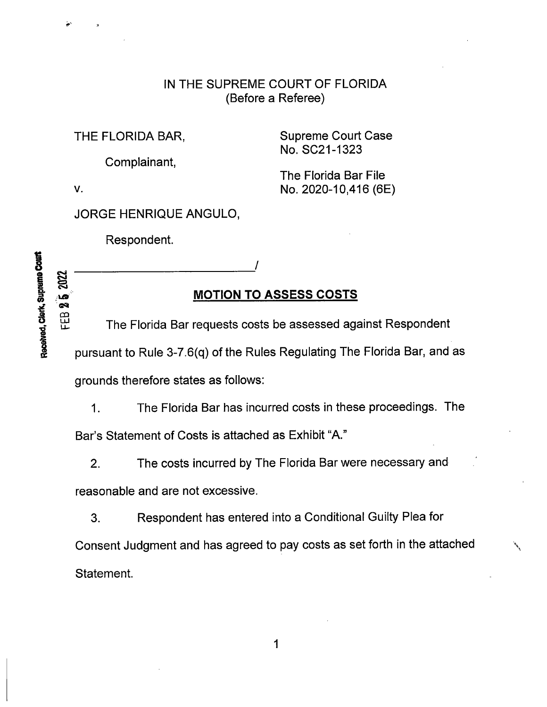## IN THE SUPREME COURT OF FLORIDA (Before a Referee)

THE FLORIDA BAR, Supreme Court Case No. SC21-1323

Complainant,

The Florida Bar File v. No. 2020-10,416 (6E)

JORGE HENRIQUE ANGULO,

Respondent.

## MOTION TO ASSESS COSTS

<sup>8</sup> The Florida Bar requests costs be assessed against Respondent pursuant to Rule 3-7.6(q) of the Rules Regulating The Florida Bar, and as grounds therefore states as follows:

1. The Florida Bar has incurred costs in these proceedings. The

Bar's Statement of Costs is attached as Exhibit "A."

2. The costs incurred by The Florida Bar were necessary and

reasonable and are not excessive.

3. Respondent has entered into a Conditional Guilty Plea for Consent Judgment and has agreed to pay costs as set forth in the attached Statement.

8 /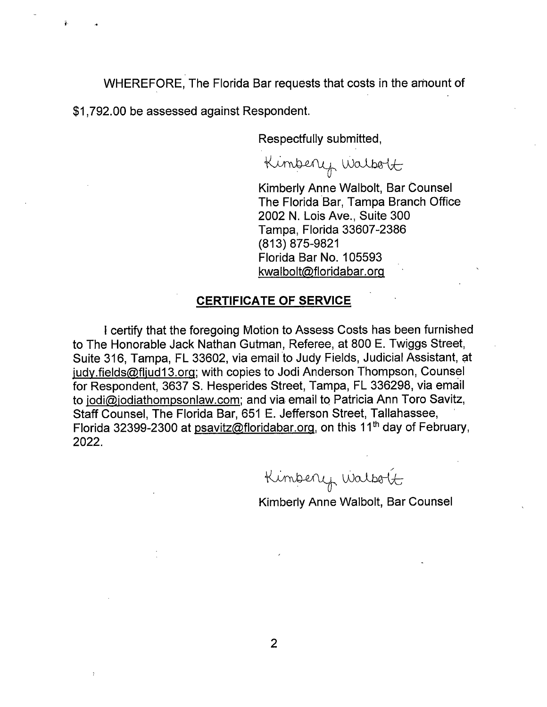WHEREFORE, The Florida Bar requests that costs in the amount of

\$1,792.00 be assessed against Respondent.

Respectfully submitted,

Kimberry Walbort

Kimberly Anne Walbolt, Bar Counsel The Florida Bar, Tampa Branch Office 2002 N. Lois Ave., Suite 300 Tampa, Florida 33607-2386 (813) 875-9821 Florida Bar No. 105593 kwalbolt@floridabar.org

## CERTIFICATE OF SERVICE

<sup>I</sup> certify that the foregoing Motion to Assess Costs has been furnished to The Honorable Jack Nathan Gutman, Referee, at 800 E. Twiggs Street, Suite 316, Tampa, FL 33602, via email to Judy Fields, Judicial Assistant, at judy.fields@fljud13.org; with copies to Jodi Anderson Thompson, Counsel for Respondent, 3637 S. Hesperides Street, Tampa, FL 336298, via email to jodi@,jodiathompsonlaw.com; and via email to Patricia Ann Toro Savitz, Staff Counsel, The Florida Bar, 651 E. Jefferson Street, Tallahassee, Florida 32399-2300 at psavitz@floridabar.org, on this 11<sup>th</sup> day of February, 2022.

Kimbery Walbort

Kimberly Anne Walbolt, Bar Counsel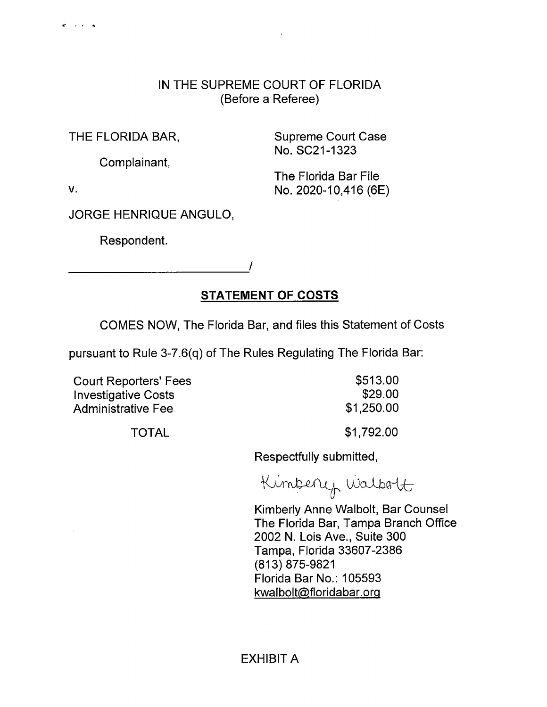## IN THE SUPREME COURT OF FLORIDA (Before a Referee)

THE FLORIDA BAR, Supreme Court Case No. SC21-1323

Complainant,

The Florida Bar File v. No. 2020-10,416 (6E)

 $\mathbf{C} = \mathbf{C} \times \mathbf{C}$  , and

JORGE HENRIQUE ANGULO,

Respondent.

STATEMENT OF COSTS

COMES NOW, The Florida Bar, and files this Statement of Costs

pursuant to Rule 3-7.6(q) of The Rules Regulating The Florida Bar:

Court Reporters' Fees \$513.00 Investigative Costs **\$29.00** Administrative Fee  $$1,250.00$ 

TOTAL \$1,792.00

Respectfully submitted,

Kimberry Walbolt

Kimberly Anne Walbolt, Bar Counsel The Florida Bar, Tampa Branch Office 2002 N. Lois Ave., Suite 300 Tampa, Florida 33607-2386 (813) 875-9821 Florida Bar No.: 105593 kwalbolt@floridabar.orq